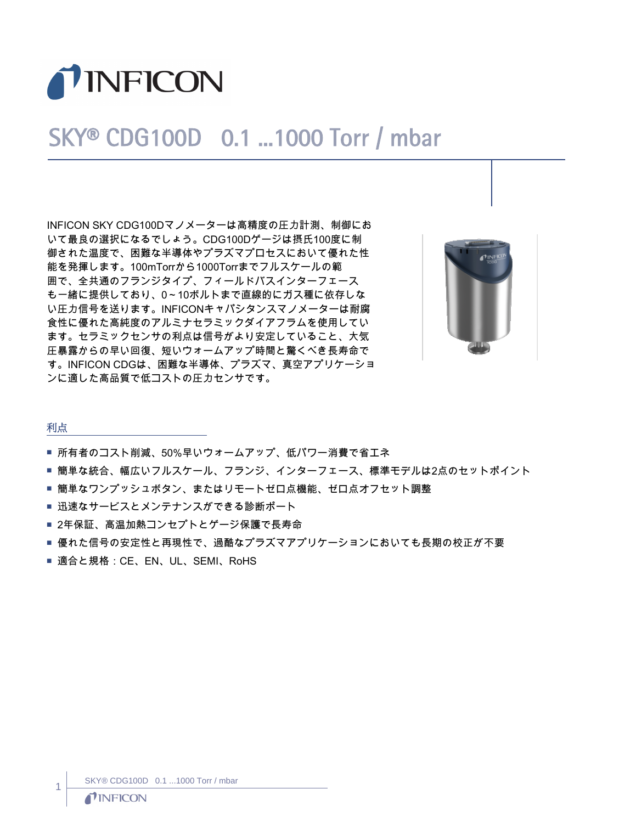

# SKY® CDG100D 0.1 ...1000 Torr / mbar

INFICON SKY CDG100Dマノメーターは高精度の圧力計測、制御にお いて最良の選択になるでしょう。CDG100Dゲージは摂氏100度に制 御された温度で、困難な半導体やプラズマプロセスにおいて優れた性 能を発揮します。100mTorrから1000Torrまでフルスケールの範 囲で、全共通のフランジタイプ、フィールドバスインターフェース も一緒に提供しており、0~10ボルトまで直線的にガス種に依存しな い圧力信号を送ります。INFICONキャパシタンスマノメーターは耐腐 食性に優れた高純度のアルミナセラミックダイアフラムを使用してい ます。セラミックセンサの利点は信号がより安定していること、大気 圧暴露からの早い回復、短いウォームアップ時間と驚くべき長寿命で す。INFICON CDGは、困難な半導体、プラズマ、真空アプリケーショ ンに適した高品質で低コストの圧力センサです。



### 利点

- 所有者のコスト削減、50%早いウォームアップ、低パワー消費で省エネ
- 簡単な統合、幅広いフルスケール、フランジ、インターフェース、標準モデルは2点のセットポイント
- 簡単なワンプッシュボタン、またはリモートゼロ点機能、ゼロ点オフセット調整
- 迅速なサービスとメンテナンスができる診断ポート
- 2年保証、高温加熱コンセプトとゲージ保護で長寿命
- 優れた信号の安定性と再現性で、過酷なプラズマアプリケーションにおいても長期の校正が不要
- 適合と規格: CE、EN、UL、SEMI、RoHS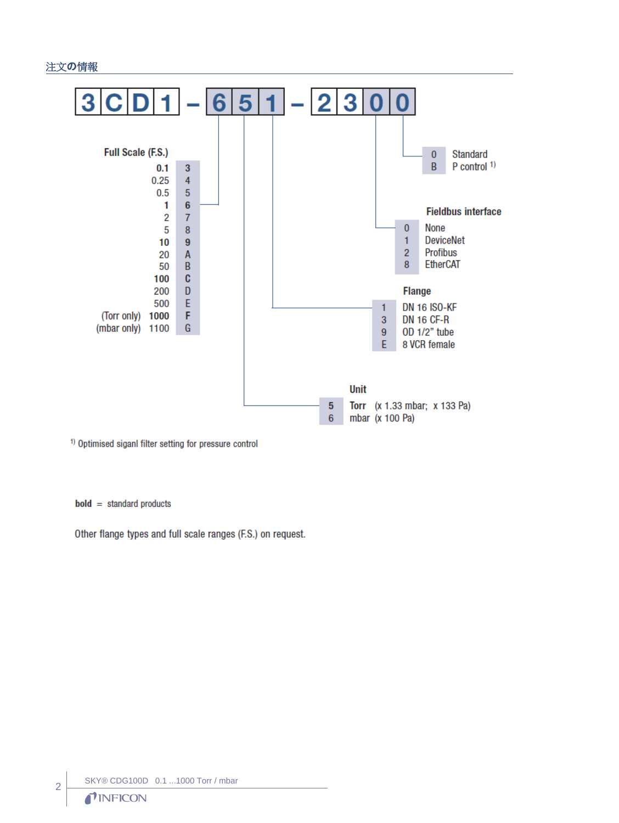## 注文の情報



<sup>1)</sup> Optimised siganl filter setting for pressure control

 $bold = standard products$ 

Other flange types and full scale ranges (F.S.) on request.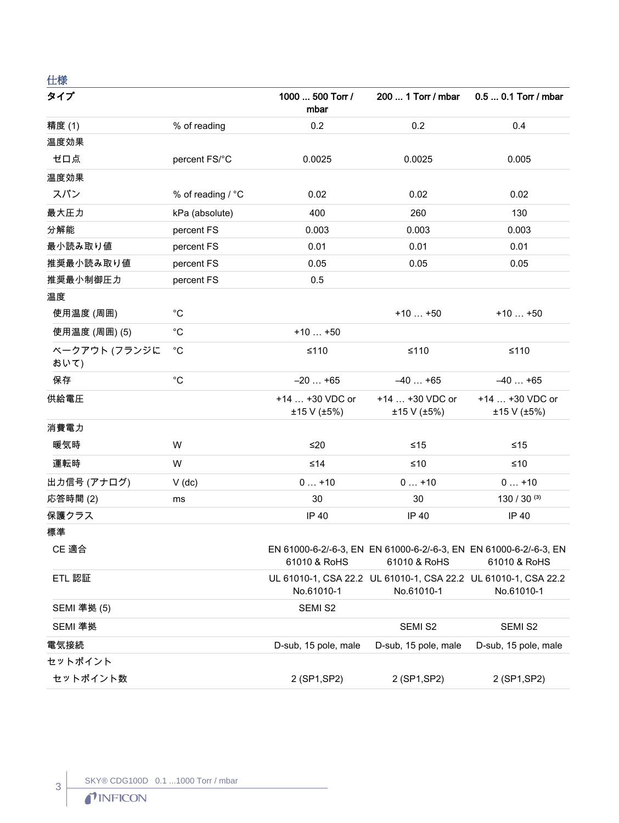仕様

| タイプ                   |                   | 1000  500 Torr /<br>mbar       | 200  1 Torr / mbar                                                                | 0.5  0.1 Torr / mbar           |
|-----------------------|-------------------|--------------------------------|-----------------------------------------------------------------------------------|--------------------------------|
| 精度(1)                 | % of reading      | 0.2                            | 0.2                                                                               | 0.4                            |
| 温度効果                  |                   |                                |                                                                                   |                                |
| ゼロ点                   | percent FS/°C     | 0.0025                         | 0.0025                                                                            | 0.005                          |
| 温度効果                  |                   |                                |                                                                                   |                                |
| スパン                   | % of reading / °C | 0.02                           | 0.02                                                                              | 0.02                           |
| 最大圧力                  | kPa (absolute)    | 400                            | 260                                                                               | 130                            |
| 分解能                   | percent FS        | 0.003                          | 0.003                                                                             | 0.003                          |
| 最小読み取り値               | percent FS        | 0.01                           | 0.01                                                                              | 0.01                           |
| 推奨最小読み取り値             | percent FS        | 0.05                           | 0.05                                                                              | 0.05                           |
| 推奨最小制御圧力              | percent FS        | 0.5                            |                                                                                   |                                |
| 温度                    |                   |                                |                                                                                   |                                |
| 使用温度 (周囲)             | $^{\circ}C$       |                                | $+10+50$                                                                          | $+10+50$                       |
| 使用温度 (周囲) (5)         | $^{\circ}C$       | $+10+50$                       |                                                                                   |                                |
| ベークアウト (フランジに<br>おいて) | $^{\circ}C$       | $≤110$                         | $≤110$                                                                            | $≤110$                         |
| 保存                    | $^{\circ}C$       | $-20+65$                       | $-40+65$                                                                          | $-40+65$                       |
| 供給電圧                  |                   | +14  +30 VDC or<br>±15 V (±5%) | +14  +30 VDC or<br>±15 V (±5%)                                                    | +14  +30 VDC or<br>±15 V (±5%) |
| 消費電力                  |                   |                                |                                                                                   |                                |
| 暖気時                   | W                 | $≤20$                          | ≤15                                                                               | ≤15                            |
| 運転時                   | W                 | ≤14                            | ≤10                                                                               | ≤10                            |
| 出力信号 (アナログ)           | $V$ (dc)          | $0+10$                         | $0+10$                                                                            | $0+10$                         |
| 応答時間(2)               | ms                | 30                             | 30                                                                                | 130 / 30 $(3)$                 |
| 保護クラス                 |                   | <b>IP 40</b>                   | IP 40                                                                             | IP 40                          |
| 標準                    |                   |                                |                                                                                   |                                |
| CE 適合                 |                   | 61010 & RoHS                   | EN 61000-6-2/-6-3, EN EN 61000-6-2/-6-3, EN EN 61000-6-2/-6-3, EN<br>61010 & RoHS | 61010 & RoHS                   |
| ETL 認証                |                   | No.61010-1                     | UL 61010-1, CSA 22.2 UL 61010-1, CSA 22.2 UL 61010-1, CSA 22.2<br>No.61010-1      | No.61010-1                     |
| SEMI 準拠 (5)           |                   | SEMI S2                        |                                                                                   |                                |
| SEMI 準拠               |                   |                                | SEMI S2                                                                           | SEMI S2                        |
| 電気接続                  |                   | D-sub, 15 pole, male           | D-sub, 15 pole, male                                                              | D-sub, 15 pole, male           |
| セットポイント               |                   |                                |                                                                                   |                                |
| セットポイント数              |                   | 2 (SP1, SP2)                   | 2 (SP1, SP2)                                                                      | 2 (SP1, SP2)                   |

3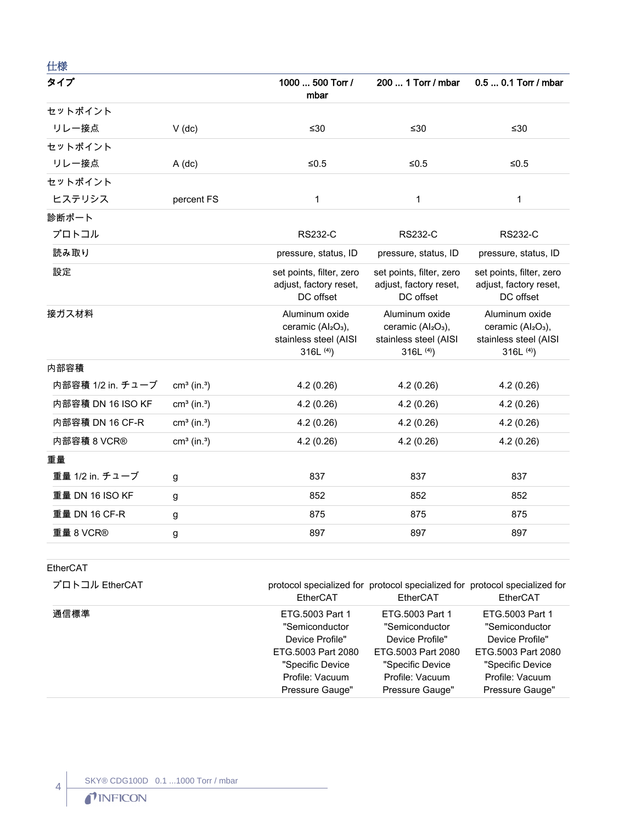| 仕様                |                           |                                                                                                     |                                                                                                     |                                                                                                     |
|-------------------|---------------------------|-----------------------------------------------------------------------------------------------------|-----------------------------------------------------------------------------------------------------|-----------------------------------------------------------------------------------------------------|
| タイプ               |                           | 1000  500 Torr /<br>mbar                                                                            | 200  1 Torr / mbar                                                                                  | 0.5  0.1 Torr / mbar                                                                                |
| セットポイント           |                           |                                                                                                     |                                                                                                     |                                                                                                     |
| リレー接点             | $V$ (dc)                  | $≤30$                                                                                               | ≤30                                                                                                 | ≤30                                                                                                 |
| セットポイント           |                           |                                                                                                     |                                                                                                     |                                                                                                     |
| リレー接点             | $A$ (dc)                  | ≤0.5                                                                                                | ≤ $0.5$                                                                                             | ≤ $0.5$                                                                                             |
| セットポイント           |                           |                                                                                                     |                                                                                                     |                                                                                                     |
| ヒステリシス            | percent FS                | $\mathbf{1}$                                                                                        | $\mathbf 1$                                                                                         | $\mathbf 1$                                                                                         |
| 診断ポート             |                           |                                                                                                     |                                                                                                     |                                                                                                     |
| プロトコル             |                           | <b>RS232-C</b>                                                                                      | <b>RS232-C</b>                                                                                      | <b>RS232-C</b>                                                                                      |
| 読み取り              |                           | pressure, status, ID                                                                                | pressure, status, ID                                                                                | pressure, status, ID                                                                                |
| 設定                |                           | set points, filter, zero<br>adjust, factory reset,<br>DC offset                                     | set points, filter, zero<br>adjust, factory reset,<br>DC offset                                     | set points, filter, zero<br>adjust, factory reset,<br>DC offset                                     |
| 接ガス材料             |                           | Aluminum oxide<br>ceramic (Al <sub>2</sub> O <sub>3</sub> ),<br>stainless steel (AISI<br>316L $(4)$ | Aluminum oxide<br>ceramic (Al <sub>2</sub> O <sub>3</sub> ),<br>stainless steel (AISI<br>316L $(4)$ | Aluminum oxide<br>ceramic (Al <sub>2</sub> O <sub>3</sub> ),<br>stainless steel (AISI<br>316L $(4)$ |
| 内部容積              |                           |                                                                                                     |                                                                                                     |                                                                                                     |
| 内部容積 1/2 in. チューブ | $cm3$ (in. <sup>3</sup> ) | 4.2(0.26)                                                                                           | 4.2(0.26)                                                                                           | 4.2(0.26)                                                                                           |
| 内部容積 DN 16 ISO KF | $cm3$ (in. <sup>3</sup> ) | 4.2(0.26)                                                                                           | 4.2(0.26)                                                                                           | 4.2(0.26)                                                                                           |
| 内部容積 DN 16 CF-R   | $cm3$ (in. <sup>3</sup> ) | 4.2(0.26)                                                                                           | 4.2(0.26)                                                                                           | 4.2(0.26)                                                                                           |
| 内部容積 8 VCR®       | $cm3$ (in. <sup>3</sup> ) | 4.2(0.26)                                                                                           | 4.2(0.26)                                                                                           | 4.2(0.26)                                                                                           |
| 重量                |                           |                                                                                                     |                                                                                                     |                                                                                                     |
| 重量 1/2 in. チューブ   | g                         | 837                                                                                                 | 837                                                                                                 | 837                                                                                                 |
| 重量 DN 16 ISO KF   | g                         | 852                                                                                                 | 852                                                                                                 | 852                                                                                                 |
| 重量 DN 16 CF-R     | g                         | 875                                                                                                 | 875                                                                                                 | 875                                                                                                 |
| 重量 8 VCR®         | g                         | 897                                                                                                 | 897                                                                                                 | 897                                                                                                 |

EtherCAT

 $\left| \begin{matrix} 4 \end{matrix} \right|$ 

| プロトコル EtherCAT | EtherCAT           | EtherCAT           | protocol specialized for protocol specialized for protocol specialized for<br>EtherCAT |
|----------------|--------------------|--------------------|----------------------------------------------------------------------------------------|
| 通信標準           | ETG.5003 Part 1    | ETG.5003 Part 1    | ETG.5003 Part 1                                                                        |
|                | "Semiconductor     | "Semiconductor     | "Semiconductor                                                                         |
|                | Device Profile"    | Device Profile"    | Device Profile"                                                                        |
|                | ETG.5003 Part 2080 | ETG.5003 Part 2080 | ETG.5003 Part 2080                                                                     |
|                | "Specific Device   | "Specific Device   | "Specific Device                                                                       |
|                | Profile: Vacuum    | Profile: Vacuum    | Profile: Vacuum                                                                        |
|                | Pressure Gauge"    | Pressure Gauge"    | Pressure Gauge"                                                                        |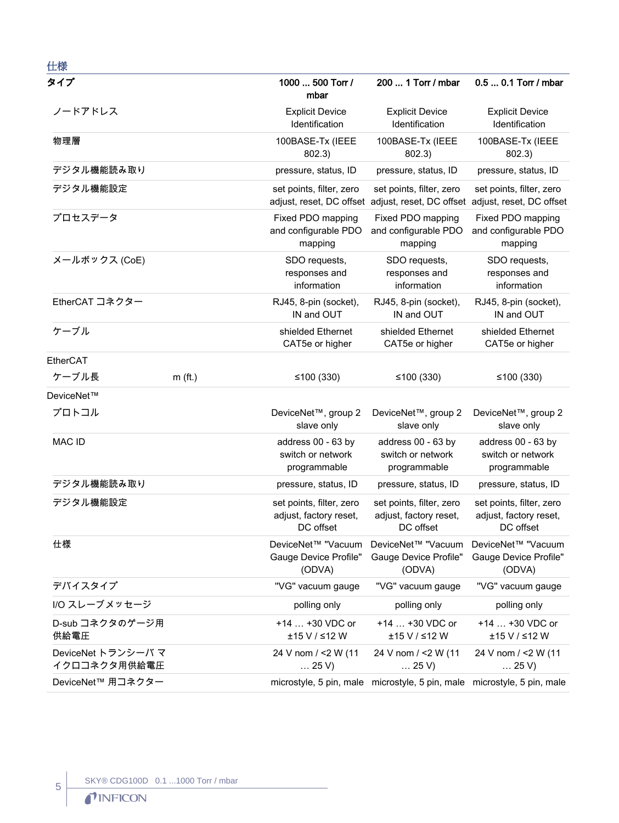| 仕様                                 |           |                                                                 |                                                                                                        |                                                                 |
|------------------------------------|-----------|-----------------------------------------------------------------|--------------------------------------------------------------------------------------------------------|-----------------------------------------------------------------|
| タイプ                                |           | 1000  500 Torr /<br>mbar                                        | 200  1 Torr / mbar                                                                                     | 0.5  0.1 Torr / mbar                                            |
| ノードアドレス                            |           | <b>Explicit Device</b><br>Identification                        | <b>Explicit Device</b><br>Identification                                                               | <b>Explicit Device</b><br>Identification                        |
| 物理層                                |           | 100BASE-Tx (IEEE<br>802.3)                                      | 100BASE-Tx (IEEE<br>802.3)                                                                             | 100BASE-Tx (IEEE<br>802.3)                                      |
| デジタル機能読み取り                         |           | pressure, status, ID                                            | pressure, status, ID                                                                                   | pressure, status, ID                                            |
| デジタル機能設定                           |           | set points, filter, zero                                        | set points, filter, zero<br>adjust, reset, DC offset adjust, reset, DC offset adjust, reset, DC offset | set points, filter, zero                                        |
| プロセスデータ                            |           | Fixed PDO mapping<br>and configurable PDO<br>mapping            | Fixed PDO mapping<br>and configurable PDO<br>mapping                                                   | Fixed PDO mapping<br>and configurable PDO<br>mapping            |
| メールボックス (CoE)                      |           | SDO requests,<br>responses and<br>information                   | SDO requests,<br>responses and<br>information                                                          | SDO requests,<br>responses and<br>information                   |
| EtherCAT コネクター                     |           | RJ45, 8-pin (socket),<br>IN and OUT                             | RJ45, 8-pin (socket),<br>IN and OUT                                                                    | RJ45, 8-pin (socket),<br>IN and OUT                             |
| ケーブル                               |           | shielded Ethernet<br>CAT5e or higher                            | shielded Ethernet<br>CAT5e or higher                                                                   | shielded Ethernet<br>CAT5e or higher                            |
| EtherCAT                           |           |                                                                 |                                                                                                        |                                                                 |
| ケーブル長                              | $m$ (ft.) | ≤100 $(330)$                                                    | ≤100 $(330)$                                                                                           | ≤100 $(330)$                                                    |
| DeviceNet™                         |           |                                                                 |                                                                                                        |                                                                 |
| プロトコル                              |           | DeviceNet <sup>™</sup> , group 2<br>slave only                  | DeviceNet™, group 2<br>slave only                                                                      | DeviceNet <sup>™</sup> , group 2<br>slave only                  |
| <b>MAC ID</b>                      |           | address 00 - 63 by<br>switch or network<br>programmable         | address 00 - 63 by<br>switch or network<br>programmable                                                | address 00 - 63 by<br>switch or network<br>programmable         |
| デジタル機能読み取り                         |           | pressure, status, ID                                            | pressure, status, ID                                                                                   | pressure, status, ID                                            |
| デジタル機能設定                           |           | set points, filter, zero<br>adjust, factory reset,<br>DC offset | set points, filter, zero<br>adjust, factory reset,<br>DC offset                                        | set points, filter, zero<br>adjust, factory reset,<br>DC offset |
| 仕様                                 |           | DeviceNet™ "Vacuum<br>Gauge Device Profile"<br>(ODVA)           | DeviceNet™ "Vacuum<br>Gauge Device Profile"<br>(ODVA)                                                  | DeviceNet™ "Vacuum<br>Gauge Device Profile"<br>(ODVA)           |
| デバイスタイプ                            |           | "VG" vacuum gauge                                               | "VG" vacuum gauge                                                                                      | "VG" vacuum gauge                                               |
| I/O スレーブメッセージ                      |           | polling only                                                    | polling only                                                                                           | polling only                                                    |
| D-sub コネクタのゲージ用<br>供給電圧            |           | +14  +30 VDC or<br>±15 V / ≤12 W                                | +14  +30 VDC or<br>±15 V / ≤12 W                                                                       | +14  +30 VDC or<br>±15 V / ≤12 W                                |
| DeviceNet トランシーバ マ<br>イクロコネクタ用供給電圧 |           | 24 V nom / <2 W (11<br>$\dots$ 25 V)                            | 24 V nom / <2 W (11<br>$\dots$ 25 V)                                                                   | 24 V nom / <2 W (11<br>$\ldots$ 25 V)                           |
| DeviceNet™ 用コネクター                  |           |                                                                 | microstyle, 5 pin, male microstyle, 5 pin, male microstyle, 5 pin, male                                |                                                                 |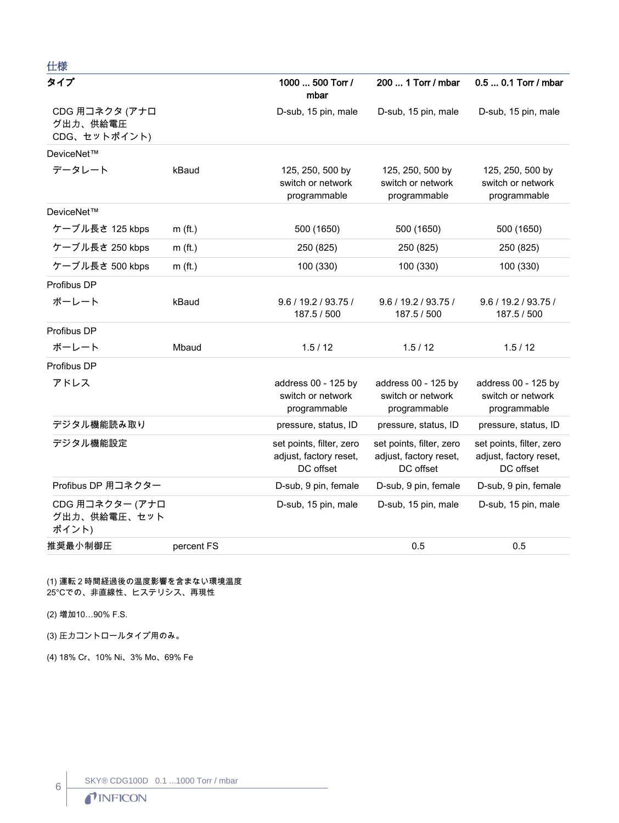| 仕様                                         |            |                                                                 |                                                                 |                                                                 |
|--------------------------------------------|------------|-----------------------------------------------------------------|-----------------------------------------------------------------|-----------------------------------------------------------------|
| タイプ                                        |            | 1000  500 Torr /<br>mbar                                        | 200  1 Torr / mbar                                              | 0.5  0.1 Torr / mbar                                            |
| CDG 用コネクタ (アナロ<br>グ出力、供給電圧<br>CDG、セットポイント) |            | D-sub, 15 pin, male                                             | D-sub, 15 pin, male                                             | D-sub, 15 pin, male                                             |
| DeviceNet™                                 |            |                                                                 |                                                                 |                                                                 |
| データレート                                     | kBaud      | 125, 250, 500 by<br>switch or network<br>programmable           | 125, 250, 500 by<br>switch or network<br>programmable           | 125, 250, 500 by<br>switch or network<br>programmable           |
| DeviceNet™                                 |            |                                                                 |                                                                 |                                                                 |
| ケーブル長さ 125 kbps                            | $m$ (ft.)  | 500 (1650)                                                      | 500 (1650)                                                      | 500 (1650)                                                      |
| ケーブル長さ 250 kbps                            | $m$ (ft.)  | 250 (825)                                                       | 250 (825)                                                       | 250 (825)                                                       |
| ケーブル長さ 500 kbps                            | $m$ (ft.)  | 100 (330)                                                       | 100 (330)                                                       | 100 (330)                                                       |
| Profibus DP                                |            |                                                                 |                                                                 |                                                                 |
| ボーレート                                      | kBaud      | 9.6 / 19.2 / 93.75 /<br>187.5 / 500                             | 9.6 / 19.2 / 93.75 /<br>187.5 / 500                             | 9.6 / 19.2 / 93.75 /<br>187.5 / 500                             |
| Profibus DP                                |            |                                                                 |                                                                 |                                                                 |
| ボーレート                                      | Mbaud      | 1.5/12                                                          | 1.5/12                                                          | 1.5/12                                                          |
| Profibus DP                                |            |                                                                 |                                                                 |                                                                 |
| アドレス                                       |            | address 00 - 125 by<br>switch or network<br>programmable        | address 00 - 125 by<br>switch or network<br>programmable        | address 00 - 125 by<br>switch or network<br>programmable        |
| デジタル機能読み取り                                 |            | pressure, status, ID                                            | pressure, status, ID                                            | pressure, status, ID                                            |
| デジタル機能設定                                   |            | set points, filter, zero<br>adjust, factory reset,<br>DC offset | set points, filter, zero<br>adjust, factory reset,<br>DC offset | set points, filter, zero<br>adjust, factory reset,<br>DC offset |
| Profibus DP 用コネクター                         |            | D-sub, 9 pin, female                                            | D-sub, 9 pin, female                                            | D-sub, 9 pin, female                                            |
| CDG 用コネクター (アナロ<br>グ出力、供給電圧、セット<br>ポイント)   |            | D-sub, 15 pin, male                                             | D-sub, 15 pin, male                                             | D-sub, 15 pin, male                                             |
| 推奨最小制御圧                                    | percent FS |                                                                 | 0.5                                                             | 0.5                                                             |

#### (1) 運転2時間経過後の温度影響を含まない環境温度 25℃での、非直線性、ヒステリシス、再現性

(2) 増加10...90% F.S.

(3) 圧力コントロールタイプ用のみ。

(4) 18% Cr, 10% Ni, 3% Mo, 69% Fe